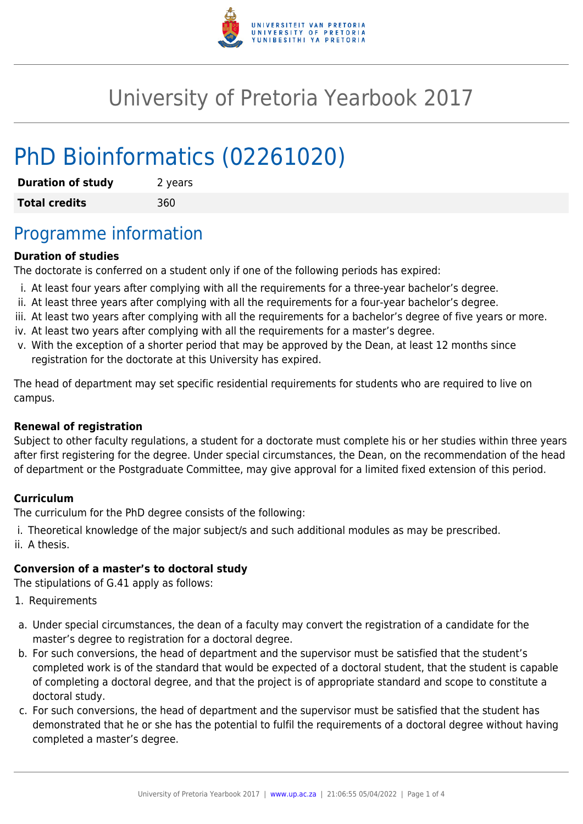

# University of Pretoria Yearbook 2017

# PhD Bioinformatics (02261020)

| <b>Duration of study</b> | 2 years |
|--------------------------|---------|
| <b>Total credits</b>     | 360     |

## Programme information

#### **Duration of studies**

The doctorate is conferred on a student only if one of the following periods has expired:

- i. At least four years after complying with all the requirements for a three-year bachelor's degree.
- ii. At least three years after complying with all the requirements for a four-year bachelor's degree.
- iii. At least two years after complying with all the requirements for a bachelor's degree of five years or more.
- iv. At least two years after complying with all the requirements for a master's degree.
- v. With the exception of a shorter period that may be approved by the Dean, at least 12 months since registration for the doctorate at this University has expired.

The head of department may set specific residential requirements for students who are required to live on campus.

#### **Renewal of registration**

Subject to other faculty regulations, a student for a doctorate must complete his or her studies within three years after first registering for the degree. Under special circumstances, the Dean, on the recommendation of the head of department or the Postgraduate Committee, may give approval for a limited fixed extension of this period.

#### **Curriculum**

The curriculum for the PhD degree consists of the following:

i. Theoretical knowledge of the major subject/s and such additional modules as may be prescribed. ii. A thesis.

#### **Conversion of a master's to doctoral study**

The stipulations of G.41 apply as follows:

- 1. Requirements
- a. Under special circumstances, the dean of a faculty may convert the registration of a candidate for the master's degree to registration for a doctoral degree.
- b. For such conversions, the head of department and the supervisor must be satisfied that the student's completed work is of the standard that would be expected of a doctoral student, that the student is capable of completing a doctoral degree, and that the project is of appropriate standard and scope to constitute a doctoral study.
- c. For such conversions, the head of department and the supervisor must be satisfied that the student has demonstrated that he or she has the potential to fulfil the requirements of a doctoral degree without having completed a master's degree.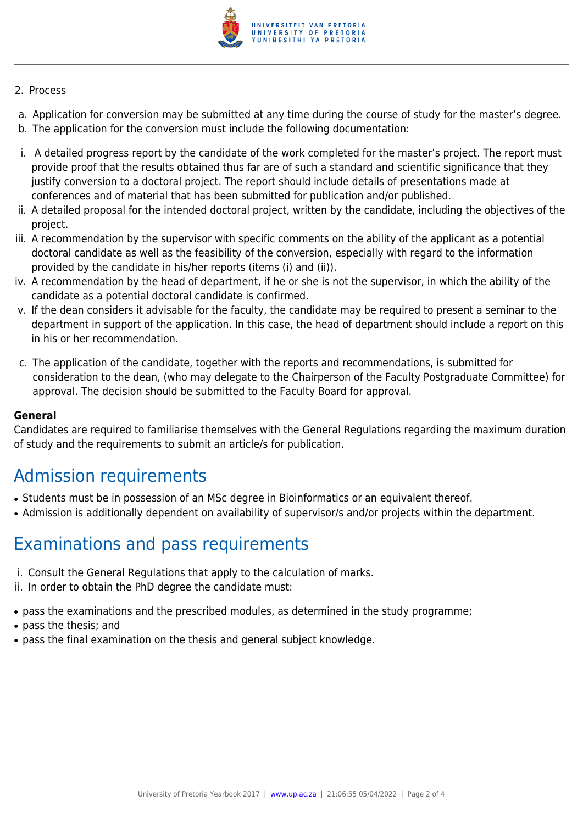

#### 2. Process

- a. Application for conversion may be submitted at any time during the course of study for the master's degree.
- b. The application for the conversion must include the following documentation:
- i. A detailed progress report by the candidate of the work completed for the master's project. The report must provide proof that the results obtained thus far are of such a standard and scientific significance that they justify conversion to a doctoral project. The report should include details of presentations made at conferences and of material that has been submitted for publication and/or published.
- ii. A detailed proposal for the intended doctoral project, written by the candidate, including the objectives of the project.
- iii. A recommendation by the supervisor with specific comments on the ability of the applicant as a potential doctoral candidate as well as the feasibility of the conversion, especially with regard to the information provided by the candidate in his/her reports (items (i) and (ii)).
- iv. A recommendation by the head of department, if he or she is not the supervisor, in which the ability of the candidate as a potential doctoral candidate is confirmed.
- v. If the dean considers it advisable for the faculty, the candidate may be required to present a seminar to the department in support of the application. In this case, the head of department should include a report on this in his or her recommendation.
- c. The application of the candidate, together with the reports and recommendations, is submitted for consideration to the dean, (who may delegate to the Chairperson of the Faculty Postgraduate Committee) for approval. The decision should be submitted to the Faculty Board for approval.

#### **General**

Candidates are required to familiarise themselves with the General Regulations regarding the maximum duration of study and the requirements to submit an article/s for publication.

### Admission requirements

- Students must be in possession of an MSc degree in Bioinformatics or an equivalent thereof.
- Admission is additionally dependent on availability of supervisor/s and/or projects within the department.

### Examinations and pass requirements

- i. Consult the General Regulations that apply to the calculation of marks.
- ii. In order to obtain the PhD degree the candidate must:
- pass the examinations and the prescribed modules, as determined in the study programme;
- pass the thesis; and
- pass the final examination on the thesis and general subject knowledge.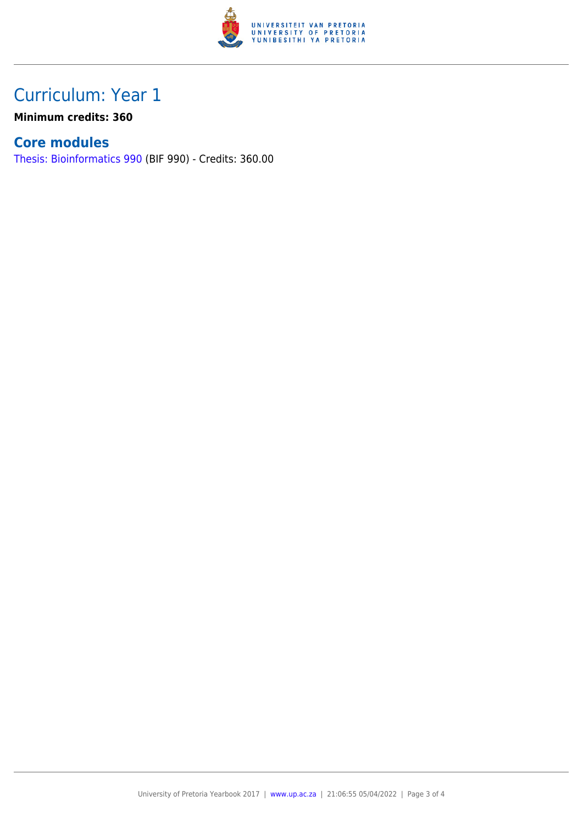

## Curriculum: Year 1

**Minimum credits: 360**

### **Core modules**

[Thesis: Bioinformatics 990](https://www.up.ac.za/faculty-of-education/yearbooks/2017/modules/view/BIF 990) (BIF 990) - Credits: 360.00